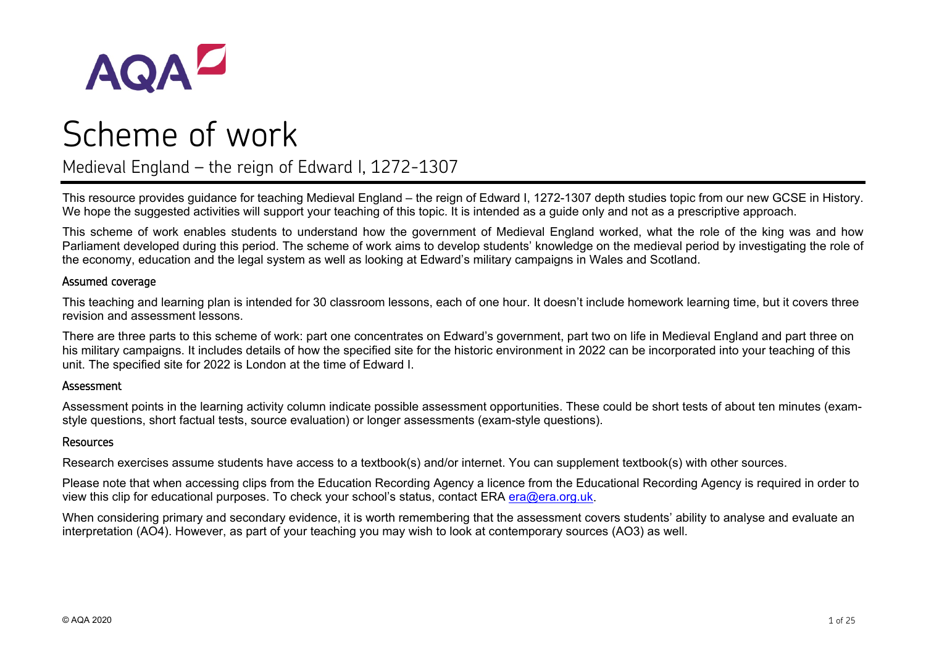

# Scheme of work

Medieval England – the reign of Edward I, 1272-1307

This resource provides guidance for teaching Medieval England – the reign of Edward I, 1272-1307 depth studies topic from our new GCSE in History. We hope the suggested activities will support your teaching of this topic. It is intended as a guide only and not as a prescriptive approach.

This scheme of work enables students to understand how the government of Medieval England worked, what the role of the king was and how Parliament developed during this period. The scheme of work aims to develop students' knowledge on the medieval period by investigating the role of the economy, education and the legal system as well as looking at Edward's military campaigns in Wales and Scotland.

#### Assumed coverage

This teaching and learning plan is intended for 30 classroom lessons, each of one hour. It doesn't include homework learning time, but it covers three revision and assessment lessons.

There are three parts to this scheme of work: part one concentrates on Edward's government, part two on life in Medieval England and part three on his military campaigns. It includes details of how the specified site for the historic environment in 2022 can be incorporated into your teaching of this unit. The specified site for 2022 is London at the time of Edward I.

#### Assessment

Assessment points in the learning activity column indicate possible assessment opportunities. These could be short tests of about ten minutes (examstyle questions, short factual tests, source evaluation) or longer assessments (exam-style questions).

#### Resources

Research exercises assume students have access to a textbook(s) and/or internet. You can supplement textbook(s) with other sources.

Please note that when accessing clips from the Education Recording Agency a licence from the Educational Recording Agency is required in order to view this clip for educational purposes. To check your school's status, contact ERA [era@era.org.uk.](mailto:era@era.org.uk)

When considering primary and secondary evidence, it is worth remembering that the assessment covers students' ability to analyse and evaluate an interpretation (AO4). However, as part of your teaching you may wish to look at contemporary sources (AO3) as well.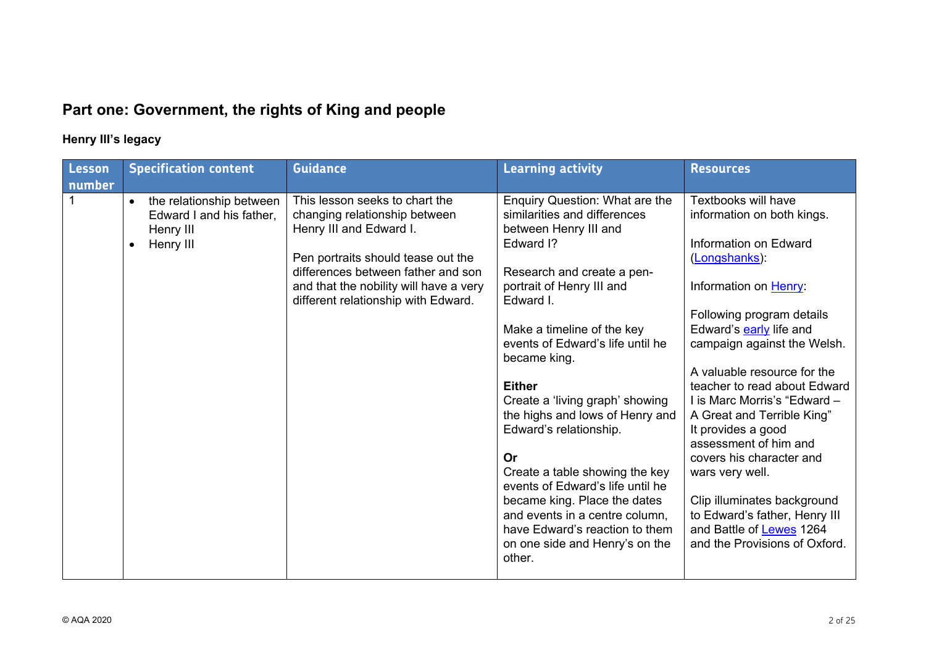# **Part one: Government, the rights of King and people**

## **Henry III's legacy**

| Lesson<br>number | <b>Specification content</b>                                                                             | <b>Guidance</b>                                                                                                                                                                                                                                         | <b>Learning activity</b>                                                                                                                                                                                                                                                                                                                                                                                                                                                                                                                                                                                    | <b>Resources</b>                                                                                                                                                                                                                                                                                                                                                                                                                                                                                                                                                    |
|------------------|----------------------------------------------------------------------------------------------------------|---------------------------------------------------------------------------------------------------------------------------------------------------------------------------------------------------------------------------------------------------------|-------------------------------------------------------------------------------------------------------------------------------------------------------------------------------------------------------------------------------------------------------------------------------------------------------------------------------------------------------------------------------------------------------------------------------------------------------------------------------------------------------------------------------------------------------------------------------------------------------------|---------------------------------------------------------------------------------------------------------------------------------------------------------------------------------------------------------------------------------------------------------------------------------------------------------------------------------------------------------------------------------------------------------------------------------------------------------------------------------------------------------------------------------------------------------------------|
|                  | the relationship between<br>$\bullet$<br>Edward I and his father,<br>Henry III<br>Henry III<br>$\bullet$ | This lesson seeks to chart the<br>changing relationship between<br>Henry III and Edward I.<br>Pen portraits should tease out the<br>differences between father and son<br>and that the nobility will have a very<br>different relationship with Edward. | Enquiry Question: What are the<br>similarities and differences<br>between Henry III and<br>Edward I?<br>Research and create a pen-<br>portrait of Henry III and<br>Edward I.<br>Make a timeline of the key<br>events of Edward's life until he<br>became king.<br><b>Either</b><br>Create a 'living graph' showing<br>the highs and lows of Henry and<br>Edward's relationship.<br>Or<br>Create a table showing the key<br>events of Edward's life until he<br>became king. Place the dates<br>and events in a centre column,<br>have Edward's reaction to them<br>on one side and Henry's on the<br>other. | Textbooks will have<br>information on both kings.<br>Information on Edward<br>(Longshanks):<br>Information on Henry:<br>Following program details<br>Edward's early life and<br>campaign against the Welsh.<br>A valuable resource for the<br>teacher to read about Edward<br>I is Marc Morris's "Edward -<br>A Great and Terrible King"<br>It provides a good<br>assessment of him and<br>covers his character and<br>wars very well.<br>Clip illuminates background<br>to Edward's father, Henry III<br>and Battle of Lewes 1264<br>and the Provisions of Oxford. |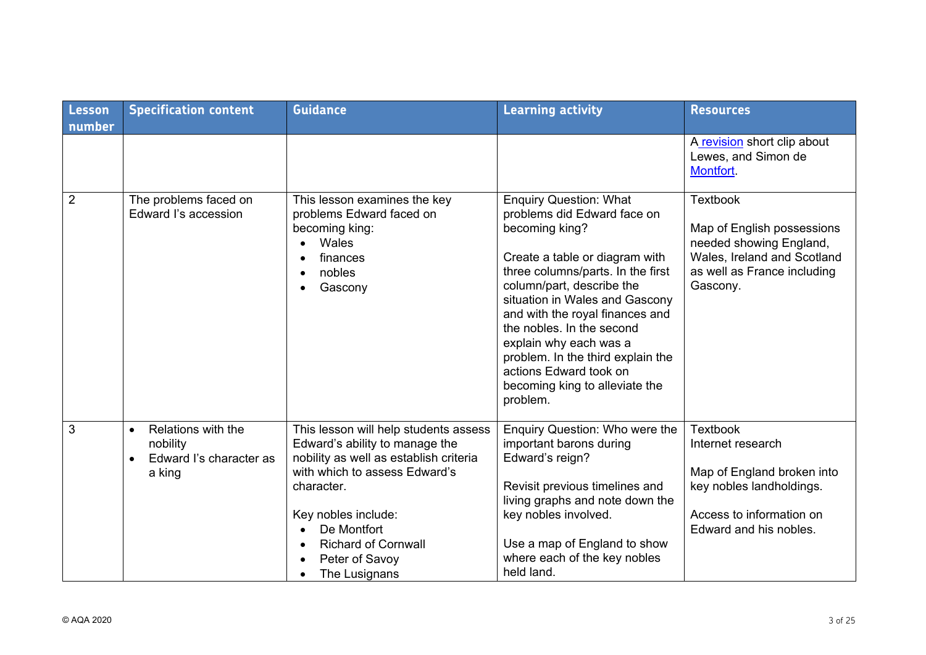| Lesson<br>number | <b>Specification content</b>                                                                  | <b>Guidance</b>                                                                                                                                                                                                                                                         | <b>Learning activity</b>                                                                                                                                                                                                                                                                                                                                                                                                    | <b>Resources</b>                                                                                                                                     |
|------------------|-----------------------------------------------------------------------------------------------|-------------------------------------------------------------------------------------------------------------------------------------------------------------------------------------------------------------------------------------------------------------------------|-----------------------------------------------------------------------------------------------------------------------------------------------------------------------------------------------------------------------------------------------------------------------------------------------------------------------------------------------------------------------------------------------------------------------------|------------------------------------------------------------------------------------------------------------------------------------------------------|
|                  |                                                                                               |                                                                                                                                                                                                                                                                         |                                                                                                                                                                                                                                                                                                                                                                                                                             | A revision short clip about<br>Lewes, and Simon de<br>Montfort.                                                                                      |
| $\overline{2}$   | The problems faced on<br>Edward I's accession                                                 | This lesson examines the key<br>problems Edward faced on<br>becoming king:<br>Wales<br>finances<br>nobles<br>Gascony                                                                                                                                                    | <b>Enquiry Question: What</b><br>problems did Edward face on<br>becoming king?<br>Create a table or diagram with<br>three columns/parts. In the first<br>column/part, describe the<br>situation in Wales and Gascony<br>and with the royal finances and<br>the nobles. In the second<br>explain why each was a<br>problem. In the third explain the<br>actions Edward took on<br>becoming king to alleviate the<br>problem. | <b>Textbook</b><br>Map of English possessions<br>needed showing England,<br>Wales, Ireland and Scotland<br>as well as France including<br>Gascony.   |
| 3                | Relations with the<br>$\bullet$<br>nobility<br>Edward I's character as<br>$\bullet$<br>a king | This lesson will help students assess<br>Edward's ability to manage the<br>nobility as well as establish criteria<br>with which to assess Edward's<br>character.<br>Key nobles include:<br>De Montfort<br><b>Richard of Cornwall</b><br>Peter of Savoy<br>The Lusignans | Enquiry Question: Who were the<br>important barons during<br>Edward's reign?<br>Revisit previous timelines and<br>living graphs and note down the<br>key nobles involved.<br>Use a map of England to show<br>where each of the key nobles<br>held land.                                                                                                                                                                     | <b>Textbook</b><br>Internet research<br>Map of England broken into<br>key nobles landholdings.<br>Access to information on<br>Edward and his nobles. |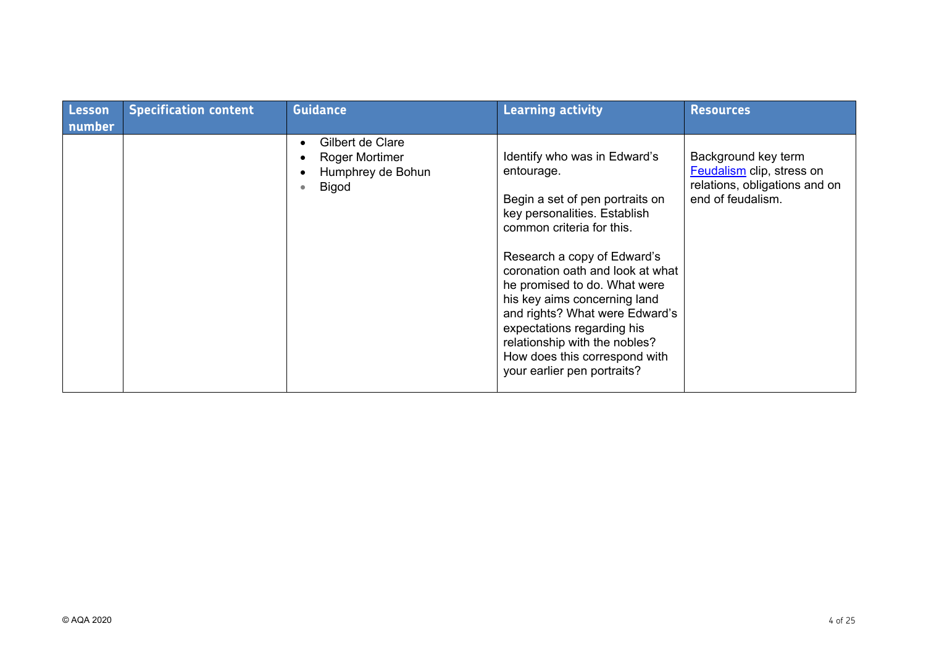| Lesson<br>number | <b>Specification content</b> | <b>Guidance</b>                                                                     | <b>Learning activity</b>                                                                                                                                                                                                                                                                                                                                                                                                                       | <b>Resources</b>                                                                                       |
|------------------|------------------------------|-------------------------------------------------------------------------------------|------------------------------------------------------------------------------------------------------------------------------------------------------------------------------------------------------------------------------------------------------------------------------------------------------------------------------------------------------------------------------------------------------------------------------------------------|--------------------------------------------------------------------------------------------------------|
|                  |                              | Gilbert de Clare<br><b>Roger Mortimer</b><br>Humphrey de Bohun<br><b>Bigod</b><br>٠ | Identify who was in Edward's<br>entourage.<br>Begin a set of pen portraits on<br>key personalities. Establish<br>common criteria for this.<br>Research a copy of Edward's<br>coronation oath and look at what<br>he promised to do. What were<br>his key aims concerning land<br>and rights? What were Edward's<br>expectations regarding his<br>relationship with the nobles?<br>How does this correspond with<br>your earlier pen portraits? | Background key term<br>Feudalism clip, stress on<br>relations, obligations and on<br>end of feudalism. |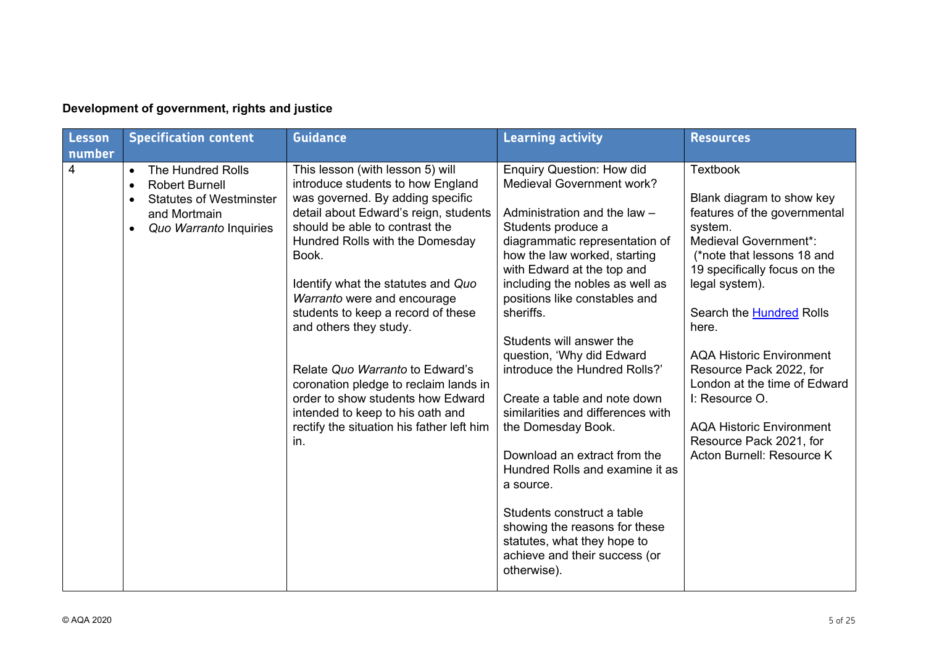| <b>Lesson</b><br>number | <b>Specification content</b>                                                                                                                                         | <b>Guidance</b>                                                                                                                                                                                                                                                                                                                                                                                                                                                                                                                                                                | <b>Learning activity</b>                                                                                                                                                                                                                                                                                                                                                                                                                                                                                                                                                                                                                                                                                                       | <b>Resources</b>                                                                                                                                                                                                                                                                                                                                                                                                                                        |
|-------------------------|----------------------------------------------------------------------------------------------------------------------------------------------------------------------|--------------------------------------------------------------------------------------------------------------------------------------------------------------------------------------------------------------------------------------------------------------------------------------------------------------------------------------------------------------------------------------------------------------------------------------------------------------------------------------------------------------------------------------------------------------------------------|--------------------------------------------------------------------------------------------------------------------------------------------------------------------------------------------------------------------------------------------------------------------------------------------------------------------------------------------------------------------------------------------------------------------------------------------------------------------------------------------------------------------------------------------------------------------------------------------------------------------------------------------------------------------------------------------------------------------------------|---------------------------------------------------------------------------------------------------------------------------------------------------------------------------------------------------------------------------------------------------------------------------------------------------------------------------------------------------------------------------------------------------------------------------------------------------------|
| 4                       | <b>The Hundred Rolls</b><br>$\bullet$<br><b>Robert Burnell</b><br>$\bullet$<br><b>Statutes of Westminster</b><br>and Mortmain<br>Quo Warranto Inquiries<br>$\bullet$ | This lesson (with lesson 5) will<br>introduce students to how England<br>was governed. By adding specific<br>detail about Edward's reign, students<br>should be able to contrast the<br>Hundred Rolls with the Domesday<br>Book.<br>Identify what the statutes and Quo<br>Warranto were and encourage<br>students to keep a record of these<br>and others they study.<br>Relate Quo Warranto to Edward's<br>coronation pledge to reclaim lands in<br>order to show students how Edward<br>intended to keep to his oath and<br>rectify the situation his father left him<br>in. | <b>Enquiry Question: How did</b><br><b>Medieval Government work?</b><br>Administration and the law -<br>Students produce a<br>diagrammatic representation of<br>how the law worked, starting<br>with Edward at the top and<br>including the nobles as well as<br>positions like constables and<br>sheriffs.<br>Students will answer the<br>question, 'Why did Edward<br>introduce the Hundred Rolls?'<br>Create a table and note down<br>similarities and differences with<br>the Domesday Book.<br>Download an extract from the<br>Hundred Rolls and examine it as<br>a source.<br>Students construct a table<br>showing the reasons for these<br>statutes, what they hope to<br>achieve and their success (or<br>otherwise). | <b>Textbook</b><br>Blank diagram to show key<br>features of the governmental<br>system.<br>Medieval Government*:<br>(*note that lessons 18 and<br>19 specifically focus on the<br>legal system).<br>Search the <b>Hundred</b> Rolls<br>here.<br><b>AQA Historic Environment</b><br>Resource Pack 2022, for<br>London at the time of Edward<br>I: Resource O.<br><b>AQA Historic Environment</b><br>Resource Pack 2021, for<br>Acton Burnell: Resource K |

## **Development of government, rights and justice**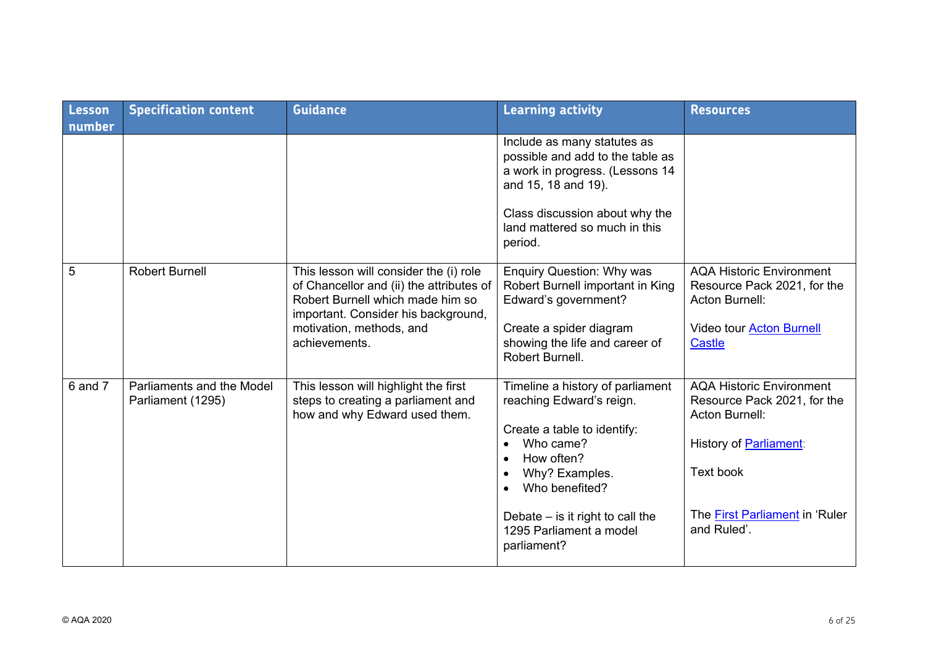| Lesson<br>number | <b>Specification content</b>                   | <b>Guidance</b>                                                                                                                                                                                            | <b>Learning activity</b>                                                                                                                                                                                                                   | <b>Resources</b>                                                                                                                                                                       |
|------------------|------------------------------------------------|------------------------------------------------------------------------------------------------------------------------------------------------------------------------------------------------------------|--------------------------------------------------------------------------------------------------------------------------------------------------------------------------------------------------------------------------------------------|----------------------------------------------------------------------------------------------------------------------------------------------------------------------------------------|
|                  |                                                |                                                                                                                                                                                                            | Include as many statutes as<br>possible and add to the table as<br>a work in progress. (Lessons 14<br>and 15, 18 and 19).<br>Class discussion about why the<br>land mattered so much in this<br>period.                                    |                                                                                                                                                                                        |
| 5                | <b>Robert Burnell</b>                          | This lesson will consider the (i) role<br>of Chancellor and (ii) the attributes of<br>Robert Burnell which made him so<br>important. Consider his background,<br>motivation, methods, and<br>achievements. | <b>Enquiry Question: Why was</b><br>Robert Burnell important in King<br>Edward's government?<br>Create a spider diagram<br>showing the life and career of<br>Robert Burnell.                                                               | <b>AQA Historic Environment</b><br>Resource Pack 2021, for the<br><b>Acton Burnell:</b><br>Video tour <b>Acton Burnell</b><br><b>Castle</b>                                            |
| 6 and 7          | Parliaments and the Model<br>Parliament (1295) | This lesson will highlight the first<br>steps to creating a parliament and<br>how and why Edward used them.                                                                                                | Timeline a history of parliament<br>reaching Edward's reign.<br>Create a table to identify:<br>Who came?<br>How often?<br>Why? Examples.<br>Who benefited?<br>Debate $-$ is it right to call the<br>1295 Parliament a model<br>parliament? | <b>AQA Historic Environment</b><br>Resource Pack 2021, for the<br><b>Acton Burnell:</b><br>History of <b>Parliament:</b><br>Text book<br>The First Parliament in 'Ruler<br>and Ruled'. |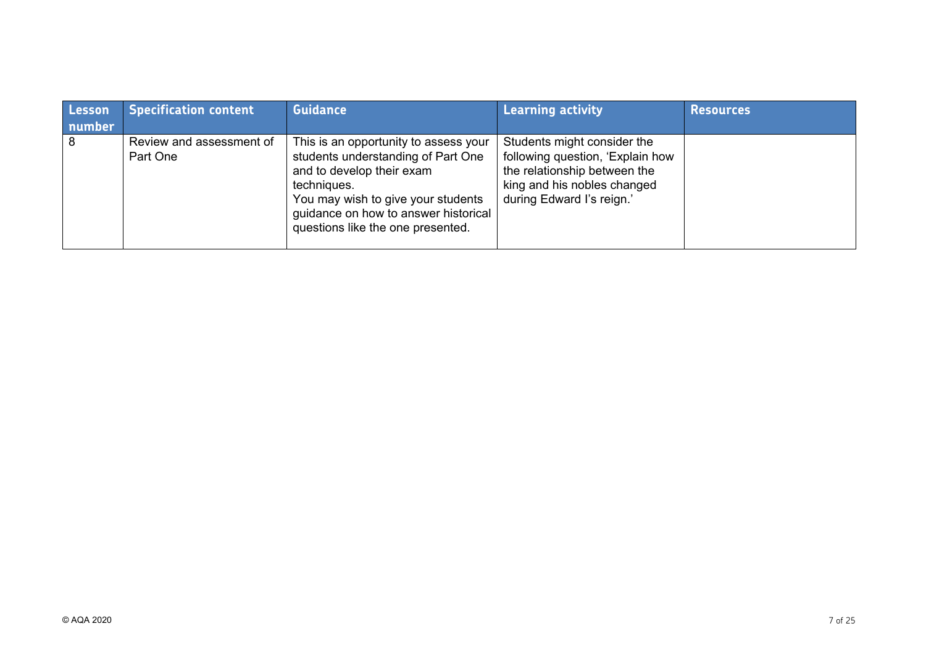| Lesson<br>number | <b>Specification content</b>         | <b>Guidance</b>                                                                                                                                                                                                                            | <b>Learning activity</b>                                                                                                                                    | <b>Resources</b> |
|------------------|--------------------------------------|--------------------------------------------------------------------------------------------------------------------------------------------------------------------------------------------------------------------------------------------|-------------------------------------------------------------------------------------------------------------------------------------------------------------|------------------|
| 8                | Review and assessment of<br>Part One | This is an opportunity to assess your<br>students understanding of Part One<br>and to develop their exam<br>techniques.<br>You may wish to give your students<br>guidance on how to answer historical<br>questions like the one presented. | Students might consider the<br>following question, 'Explain how<br>the relationship between the<br>king and his nobles changed<br>during Edward I's reign.' |                  |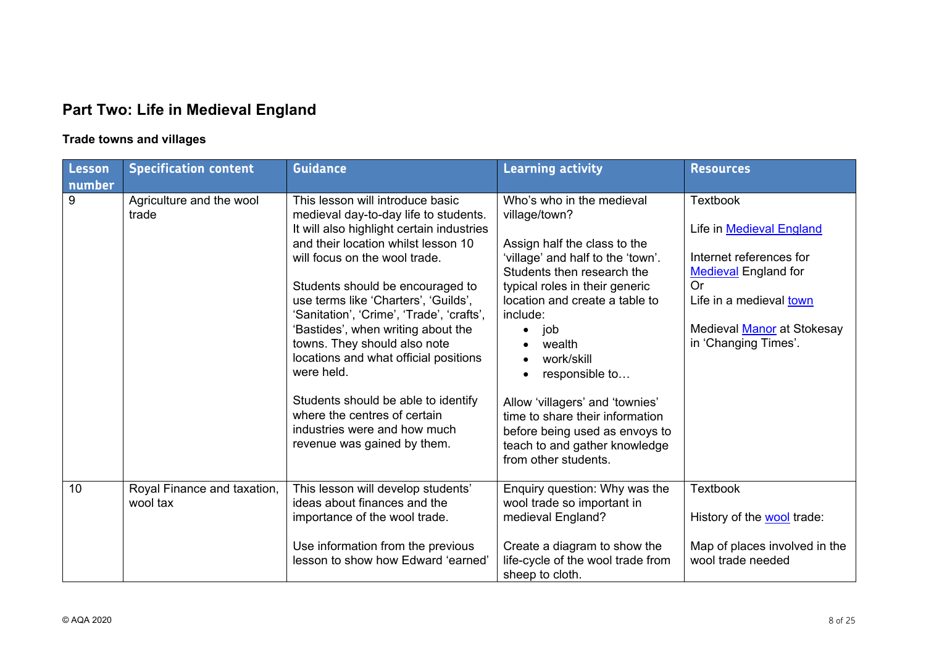# **Part Two: Life in Medieval England**

## **Trade towns and villages**

| Lesson<br>number | <b>Specification content</b>            | <b>Guidance</b>                                                                                                                                                                                                                                                                                                                                                                                                                                                                                                                                                                            | <b>Learning activity</b>                                                                                                                                                                                                                                                                                                                                                                                                                        | <b>Resources</b>                                                                                                                                                                                           |
|------------------|-----------------------------------------|--------------------------------------------------------------------------------------------------------------------------------------------------------------------------------------------------------------------------------------------------------------------------------------------------------------------------------------------------------------------------------------------------------------------------------------------------------------------------------------------------------------------------------------------------------------------------------------------|-------------------------------------------------------------------------------------------------------------------------------------------------------------------------------------------------------------------------------------------------------------------------------------------------------------------------------------------------------------------------------------------------------------------------------------------------|------------------------------------------------------------------------------------------------------------------------------------------------------------------------------------------------------------|
| 9                | Agriculture and the wool<br>trade       | This lesson will introduce basic<br>medieval day-to-day life to students.<br>It will also highlight certain industries<br>and their location whilst lesson 10<br>will focus on the wool trade.<br>Students should be encouraged to<br>use terms like 'Charters', 'Guilds',<br>'Sanitation', 'Crime', 'Trade', 'crafts',<br>'Bastides', when writing about the<br>towns. They should also note<br>locations and what official positions<br>were held.<br>Students should be able to identify<br>where the centres of certain<br>industries were and how much<br>revenue was gained by them. | Who's who in the medieval<br>village/town?<br>Assign half the class to the<br>'village' and half to the 'town'.<br>Students then research the<br>typical roles in their generic<br>location and create a table to<br>include:<br>job<br>wealth<br>work/skill<br>responsible to<br>Allow 'villagers' and 'townies'<br>time to share their information<br>before being used as envoys to<br>teach to and gather knowledge<br>from other students. | <b>Textbook</b><br>Life in <b>Medieval England</b><br>Internet references for<br><b>Medieval England for</b><br><b>Or</b><br>Life in a medieval town<br>Medieval Manor at Stokesay<br>in 'Changing Times'. |
| 10               | Royal Finance and taxation,<br>wool tax | This lesson will develop students'<br>ideas about finances and the<br>importance of the wool trade.<br>Use information from the previous<br>lesson to show how Edward 'earned'                                                                                                                                                                                                                                                                                                                                                                                                             | Enquiry question: Why was the<br>wool trade so important in<br>medieval England?<br>Create a diagram to show the<br>life-cycle of the wool trade from<br>sheep to cloth.                                                                                                                                                                                                                                                                        | <b>Textbook</b><br>History of the <b>wool</b> trade:<br>Map of places involved in the<br>wool trade needed                                                                                                 |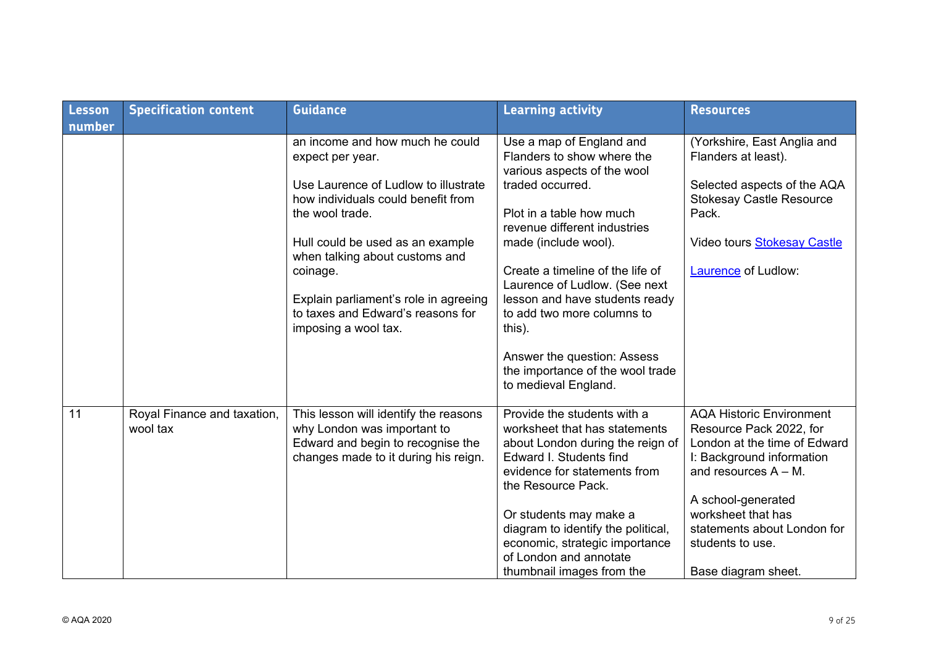| Lesson | <b>Specification content</b>            | <b>Guidance</b>                                                                                                                                   | <b>Learning activity</b>                                                                                                                                                          | <b>Resources</b>                                                                                                                                   |
|--------|-----------------------------------------|---------------------------------------------------------------------------------------------------------------------------------------------------|-----------------------------------------------------------------------------------------------------------------------------------------------------------------------------------|----------------------------------------------------------------------------------------------------------------------------------------------------|
| number |                                         |                                                                                                                                                   |                                                                                                                                                                                   |                                                                                                                                                    |
|        |                                         | an income and how much he could<br>expect per year.                                                                                               | Use a map of England and<br>Flanders to show where the<br>various aspects of the wool                                                                                             | (Yorkshire, East Anglia and<br>Flanders at least).                                                                                                 |
|        |                                         | Use Laurence of Ludlow to illustrate<br>how individuals could benefit from<br>the wool trade.                                                     | traded occurred.<br>Plot in a table how much                                                                                                                                      | Selected aspects of the AQA<br><b>Stokesay Castle Resource</b><br>Pack.                                                                            |
|        |                                         |                                                                                                                                                   | revenue different industries                                                                                                                                                      |                                                                                                                                                    |
|        |                                         | Hull could be used as an example<br>when talking about customs and                                                                                | made (include wool).                                                                                                                                                              | Video tours <b>Stokesay Castle</b>                                                                                                                 |
|        |                                         | coinage.                                                                                                                                          | Create a timeline of the life of<br>Laurence of Ludlow. (See next                                                                                                                 | Laurence of Ludlow:                                                                                                                                |
|        |                                         | Explain parliament's role in agreeing                                                                                                             | lesson and have students ready                                                                                                                                                    |                                                                                                                                                    |
|        |                                         | to taxes and Edward's reasons for                                                                                                                 | to add two more columns to                                                                                                                                                        |                                                                                                                                                    |
|        |                                         | imposing a wool tax.                                                                                                                              | this).                                                                                                                                                                            |                                                                                                                                                    |
|        |                                         |                                                                                                                                                   | Answer the question: Assess<br>the importance of the wool trade<br>to medieval England.                                                                                           |                                                                                                                                                    |
| 11     | Royal Finance and taxation,<br>wool tax | This lesson will identify the reasons<br>why London was important to<br>Edward and begin to recognise the<br>changes made to it during his reign. | Provide the students with a<br>worksheet that has statements<br>about London during the reign of<br>Edward I. Students find<br>evidence for statements from<br>the Resource Pack. | <b>AQA Historic Environment</b><br>Resource Pack 2022, for<br>London at the time of Edward<br>I: Background information<br>and resources $A - M$ . |
|        |                                         |                                                                                                                                                   | Or students may make a                                                                                                                                                            | A school-generated<br>worksheet that has                                                                                                           |
|        |                                         |                                                                                                                                                   | diagram to identify the political,                                                                                                                                                | statements about London for                                                                                                                        |
|        |                                         |                                                                                                                                                   | economic, strategic importance<br>of London and annotate                                                                                                                          | students to use.                                                                                                                                   |
|        |                                         |                                                                                                                                                   | thumbnail images from the                                                                                                                                                         | Base diagram sheet.                                                                                                                                |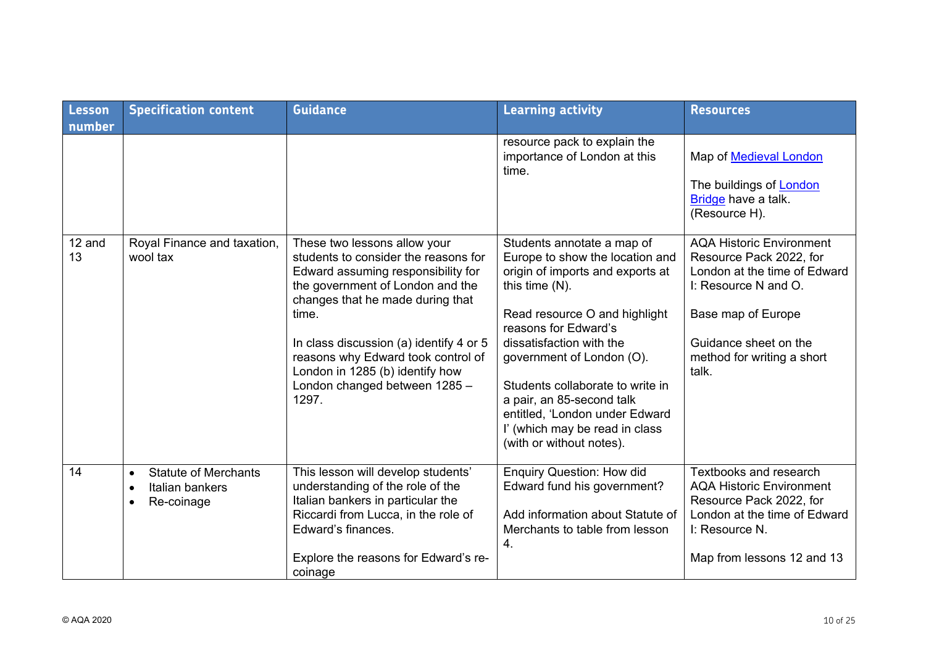| Lesson<br>number | <b>Specification content</b>                                                                        | <b>Guidance</b>                                                                                                                                                                                                                                                                                                                                           | <b>Learning activity</b>                                                                                                                                                                                                                                                                                                                                                                                  | <b>Resources</b>                                                                                                                                                                                         |
|------------------|-----------------------------------------------------------------------------------------------------|-----------------------------------------------------------------------------------------------------------------------------------------------------------------------------------------------------------------------------------------------------------------------------------------------------------------------------------------------------------|-----------------------------------------------------------------------------------------------------------------------------------------------------------------------------------------------------------------------------------------------------------------------------------------------------------------------------------------------------------------------------------------------------------|----------------------------------------------------------------------------------------------------------------------------------------------------------------------------------------------------------|
|                  |                                                                                                     |                                                                                                                                                                                                                                                                                                                                                           | resource pack to explain the<br>importance of London at this<br>time.                                                                                                                                                                                                                                                                                                                                     | Map of <b>Medieval London</b><br>The buildings of <b>London</b><br>Bridge have a talk.<br>(Resource H).                                                                                                  |
| 12 and<br>13     | Royal Finance and taxation,<br>wool tax                                                             | These two lessons allow your<br>students to consider the reasons for<br>Edward assuming responsibility for<br>the government of London and the<br>changes that he made during that<br>time.<br>In class discussion (a) identify 4 or 5<br>reasons why Edward took control of<br>London in 1285 (b) identify how<br>London changed between 1285 -<br>1297. | Students annotate a map of<br>Europe to show the location and<br>origin of imports and exports at<br>this time $(N)$ .<br>Read resource O and highlight<br>reasons for Edward's<br>dissatisfaction with the<br>government of London (O).<br>Students collaborate to write in<br>a pair, an 85-second talk<br>entitled, 'London under Edward<br>l' (which may be read in class<br>(with or without notes). | <b>AQA Historic Environment</b><br>Resource Pack 2022, for<br>London at the time of Edward<br>I: Resource N and O.<br>Base map of Europe<br>Guidance sheet on the<br>method for writing a short<br>talk. |
| 14               | <b>Statute of Merchants</b><br>$\bullet$<br>Italian bankers<br>$\bullet$<br>Re-coinage<br>$\bullet$ | This lesson will develop students'<br>understanding of the role of the<br>Italian bankers in particular the<br>Riccardi from Lucca, in the role of<br>Edward's finances.<br>Explore the reasons for Edward's re-<br>coinage                                                                                                                               | <b>Enquiry Question: How did</b><br>Edward fund his government?<br>Add information about Statute of<br>Merchants to table from lesson<br>4.                                                                                                                                                                                                                                                               | Textbooks and research<br><b>AQA Historic Environment</b><br>Resource Pack 2022, for<br>London at the time of Edward<br>I: Resource N.<br>Map from lessons 12 and 13                                     |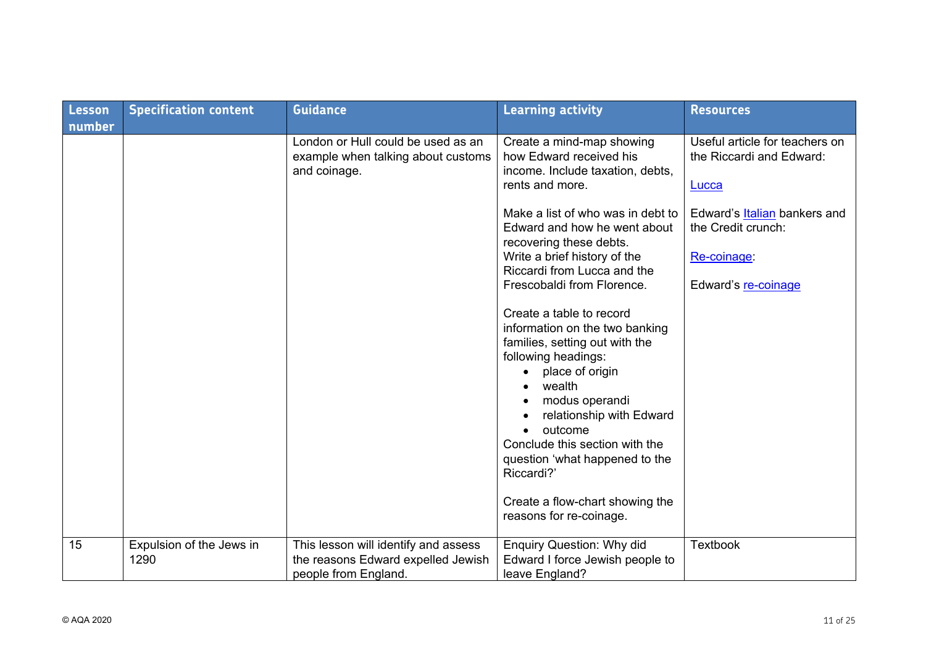| Lesson<br>number | <b>Specification content</b>     | <b>Guidance</b>                                                                                    | <b>Learning activity</b>                                                                                                                                                                                                                                                                                                                            | <b>Resources</b>                                                    |
|------------------|----------------------------------|----------------------------------------------------------------------------------------------------|-----------------------------------------------------------------------------------------------------------------------------------------------------------------------------------------------------------------------------------------------------------------------------------------------------------------------------------------------------|---------------------------------------------------------------------|
|                  |                                  | London or Hull could be used as an<br>example when talking about customs<br>and coinage.           | Create a mind-map showing<br>how Edward received his<br>income. Include taxation, debts,<br>rents and more.                                                                                                                                                                                                                                         | Useful article for teachers on<br>the Riccardi and Edward:<br>Lucca |
|                  |                                  |                                                                                                    | Make a list of who was in debt to<br>Edward and how he went about<br>recovering these debts.<br>Write a brief history of the<br>Riccardi from Lucca and the                                                                                                                                                                                         | Edward's Italian bankers and<br>the Credit crunch:<br>Re-coinage:   |
|                  |                                  |                                                                                                    | Frescobaldi from Florence.<br>Create a table to record<br>information on the two banking<br>families, setting out with the<br>following headings:<br>place of origin<br>wealth<br>$\bullet$<br>modus operandi<br>relationship with Edward<br>outcome<br>$\bullet$<br>Conclude this section with the<br>question 'what happened to the<br>Riccardi?' | Edward's re-coinage                                                 |
|                  |                                  |                                                                                                    | Create a flow-chart showing the<br>reasons for re-coinage.                                                                                                                                                                                                                                                                                          |                                                                     |
| 15               | Expulsion of the Jews in<br>1290 | This lesson will identify and assess<br>the reasons Edward expelled Jewish<br>people from England. | <b>Enquiry Question: Why did</b><br>Edward I force Jewish people to<br>leave England?                                                                                                                                                                                                                                                               | <b>Textbook</b>                                                     |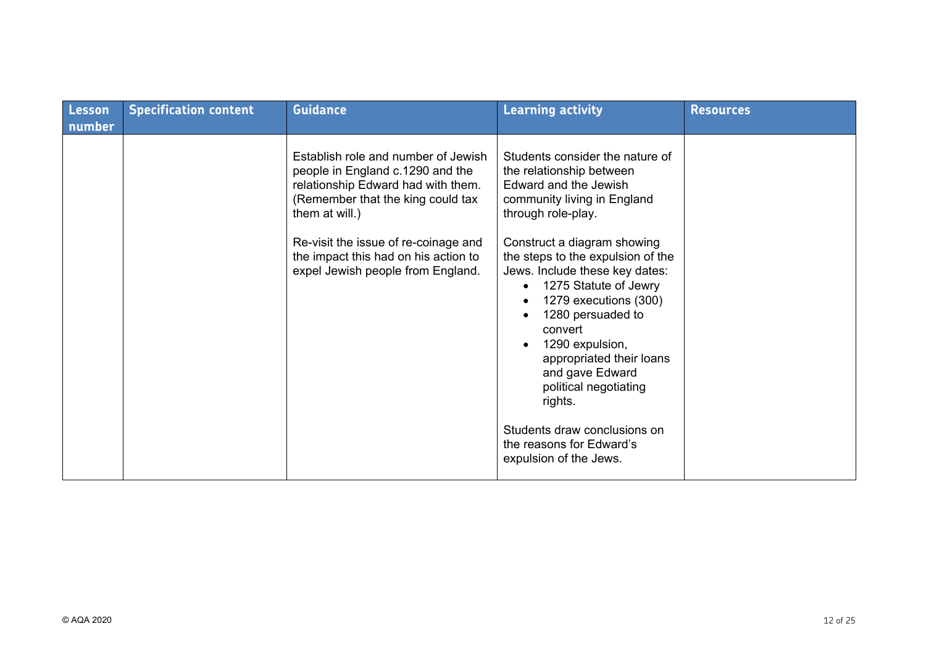| Lesson | <b>Specification content</b> | <b>Guidance</b>                                                                                                                                                                                              | <b>Learning activity</b>                                                                                                                                                                                                                                    | <b>Resources</b> |
|--------|------------------------------|--------------------------------------------------------------------------------------------------------------------------------------------------------------------------------------------------------------|-------------------------------------------------------------------------------------------------------------------------------------------------------------------------------------------------------------------------------------------------------------|------------------|
| number |                              |                                                                                                                                                                                                              |                                                                                                                                                                                                                                                             |                  |
|        |                              | Establish role and number of Jewish<br>people in England c.1290 and the<br>relationship Edward had with them.<br>(Remember that the king could tax<br>them at will.)<br>Re-visit the issue of re-coinage and | Students consider the nature of<br>the relationship between<br>Edward and the Jewish<br>community living in England<br>through role-play.<br>Construct a diagram showing                                                                                    |                  |
|        |                              | the impact this had on his action to<br>expel Jewish people from England.                                                                                                                                    | the steps to the expulsion of the<br>Jews. Include these key dates:<br>1275 Statute of Jewry<br>1279 executions (300)<br>1280 persuaded to<br>convert<br>1290 expulsion,<br>appropriated their loans<br>and gave Edward<br>political negotiating<br>rights. |                  |
|        |                              |                                                                                                                                                                                                              | Students draw conclusions on<br>the reasons for Edward's<br>expulsion of the Jews.                                                                                                                                                                          |                  |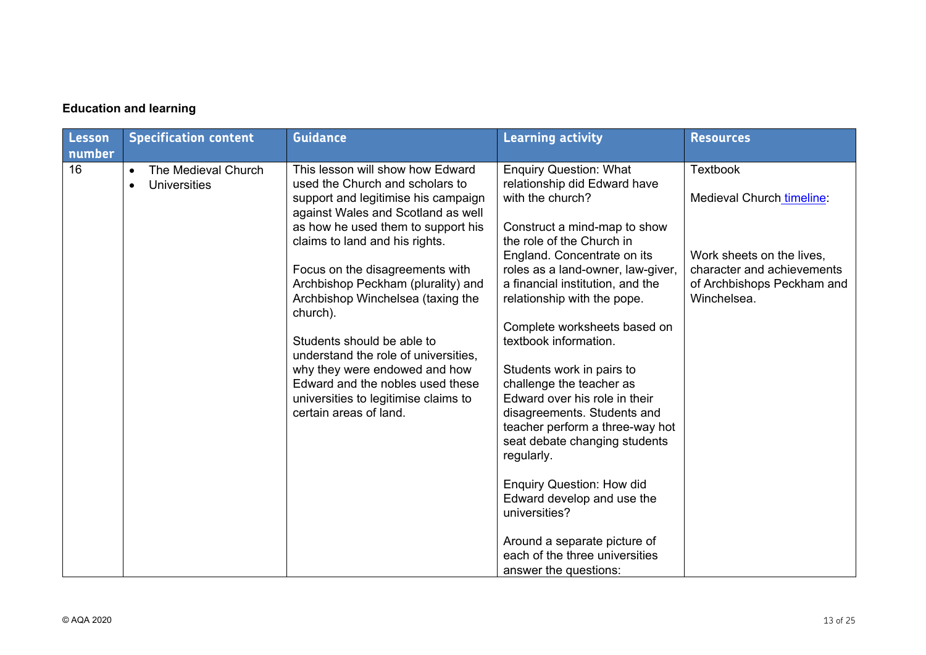#### **Education and learning**

| Lesson<br>number | <b>Specification content</b>                                         | <b>Guidance</b>                                                                                                                                                                                                                                                                                                                     | <b>Learning activity</b>                                                                                                                                                                                                                                                                                                                                                                  | <b>Resources</b>                                                                                     |
|------------------|----------------------------------------------------------------------|-------------------------------------------------------------------------------------------------------------------------------------------------------------------------------------------------------------------------------------------------------------------------------------------------------------------------------------|-------------------------------------------------------------------------------------------------------------------------------------------------------------------------------------------------------------------------------------------------------------------------------------------------------------------------------------------------------------------------------------------|------------------------------------------------------------------------------------------------------|
| 16               | The Medieval Church<br>$\bullet$<br><b>Universities</b><br>$\bullet$ | This lesson will show how Edward<br>used the Church and scholars to<br>support and legitimise his campaign<br>against Wales and Scotland as well<br>as how he used them to support his<br>claims to land and his rights.                                                                                                            | <b>Enquiry Question: What</b><br>relationship did Edward have<br>with the church?<br>Construct a mind-map to show<br>the role of the Church in                                                                                                                                                                                                                                            | <b>Textbook</b><br>Medieval Church timeline:                                                         |
|                  |                                                                      | Focus on the disagreements with<br>Archbishop Peckham (plurality) and<br>Archbishop Winchelsea (taxing the<br>church).<br>Students should be able to<br>understand the role of universities,<br>why they were endowed and how<br>Edward and the nobles used these<br>universities to legitimise claims to<br>certain areas of land. | England. Concentrate on its<br>roles as a land-owner, law-giver,<br>a financial institution, and the<br>relationship with the pope.<br>Complete worksheets based on<br>textbook information.<br>Students work in pairs to<br>challenge the teacher as<br>Edward over his role in their<br>disagreements. Students and<br>teacher perform a three-way hot<br>seat debate changing students | Work sheets on the lives,<br>character and achievements<br>of Archbishops Peckham and<br>Winchelsea. |
|                  |                                                                      |                                                                                                                                                                                                                                                                                                                                     | regularly.<br><b>Enquiry Question: How did</b><br>Edward develop and use the<br>universities?<br>Around a separate picture of<br>each of the three universities<br>answer the questions:                                                                                                                                                                                                  |                                                                                                      |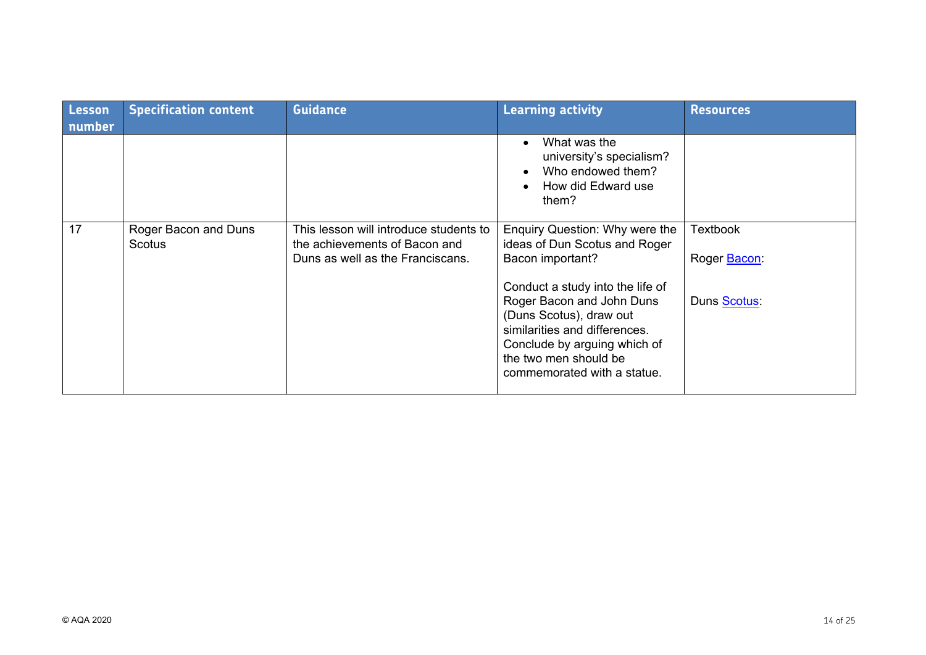| Lesson<br>number | <b>Specification content</b>   | <b>Guidance</b>                                                                                             | <b>Learning activity</b>                                                                                                                                                      | <b>Resources</b>                |
|------------------|--------------------------------|-------------------------------------------------------------------------------------------------------------|-------------------------------------------------------------------------------------------------------------------------------------------------------------------------------|---------------------------------|
|                  |                                |                                                                                                             | What was the<br>university's specialism?<br>Who endowed them?<br>How did Edward use<br>them?                                                                                  |                                 |
| 17               | Roger Bacon and Duns<br>Scotus | This lesson will introduce students to<br>the achievements of Bacon and<br>Duns as well as the Franciscans. | Enquiry Question: Why were the<br>ideas of Dun Scotus and Roger<br>Bacon important?<br>Conduct a study into the life of                                                       | <b>Textbook</b><br>Roger Bacon: |
|                  |                                |                                                                                                             | Roger Bacon and John Duns<br>(Duns Scotus), draw out<br>similarities and differences.<br>Conclude by arguing which of<br>the two men should be<br>commemorated with a statue. | Duns Scotus:                    |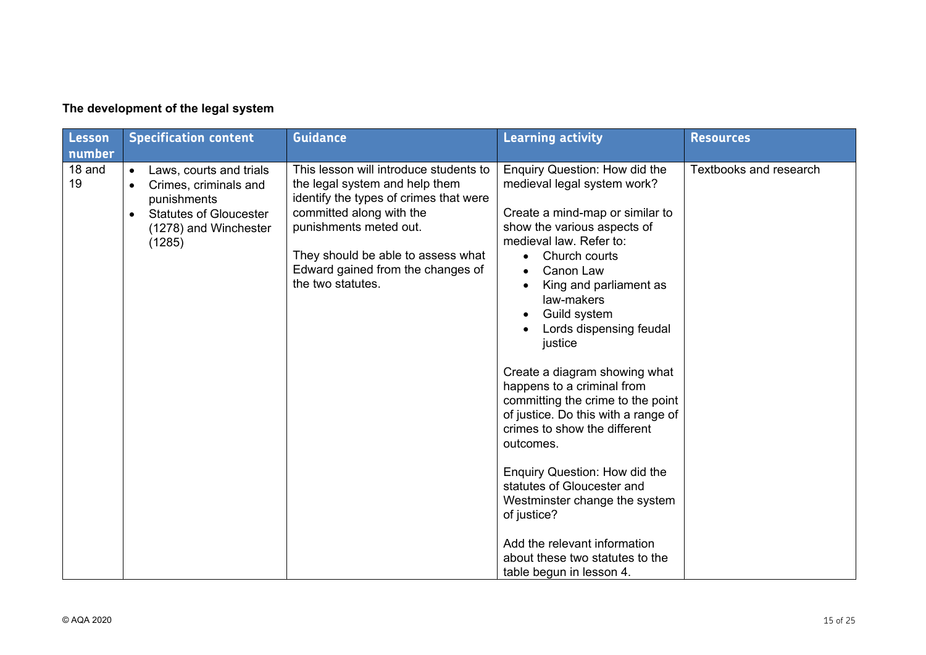| <b>Lesson</b> | <b>Specification content</b>                                                                                                                                               | <b>Guidance</b>                                                                                                                                                                                                                                                          | <b>Learning activity</b>                                                                                                                                                                                                                                                                                                                                                                                                                                                                                                                                                                                                                                                                                        | <b>Resources</b>              |
|---------------|----------------------------------------------------------------------------------------------------------------------------------------------------------------------------|--------------------------------------------------------------------------------------------------------------------------------------------------------------------------------------------------------------------------------------------------------------------------|-----------------------------------------------------------------------------------------------------------------------------------------------------------------------------------------------------------------------------------------------------------------------------------------------------------------------------------------------------------------------------------------------------------------------------------------------------------------------------------------------------------------------------------------------------------------------------------------------------------------------------------------------------------------------------------------------------------------|-------------------------------|
| number        |                                                                                                                                                                            |                                                                                                                                                                                                                                                                          |                                                                                                                                                                                                                                                                                                                                                                                                                                                                                                                                                                                                                                                                                                                 |                               |
| 18 and<br>19  | Laws, courts and trials<br>$\bullet$<br>Crimes, criminals and<br>$\bullet$<br>punishments<br><b>Statutes of Gloucester</b><br>$\bullet$<br>(1278) and Winchester<br>(1285) | This lesson will introduce students to<br>the legal system and help them<br>identify the types of crimes that were<br>committed along with the<br>punishments meted out.<br>They should be able to assess what<br>Edward gained from the changes of<br>the two statutes. | Enquiry Question: How did the<br>medieval legal system work?<br>Create a mind-map or similar to<br>show the various aspects of<br>medieval law. Refer to:<br>Church courts<br>$\bullet$<br>Canon Law<br>King and parliament as<br>law-makers<br>Guild system<br>Lords dispensing feudal<br>justice<br>Create a diagram showing what<br>happens to a criminal from<br>committing the crime to the point<br>of justice. Do this with a range of<br>crimes to show the different<br>outcomes.<br><b>Enquiry Question: How did the</b><br>statutes of Gloucester and<br>Westminster change the system<br>of justice?<br>Add the relevant information<br>about these two statutes to the<br>table begun in lesson 4. | <b>Textbooks and research</b> |

#### **The development of the legal system**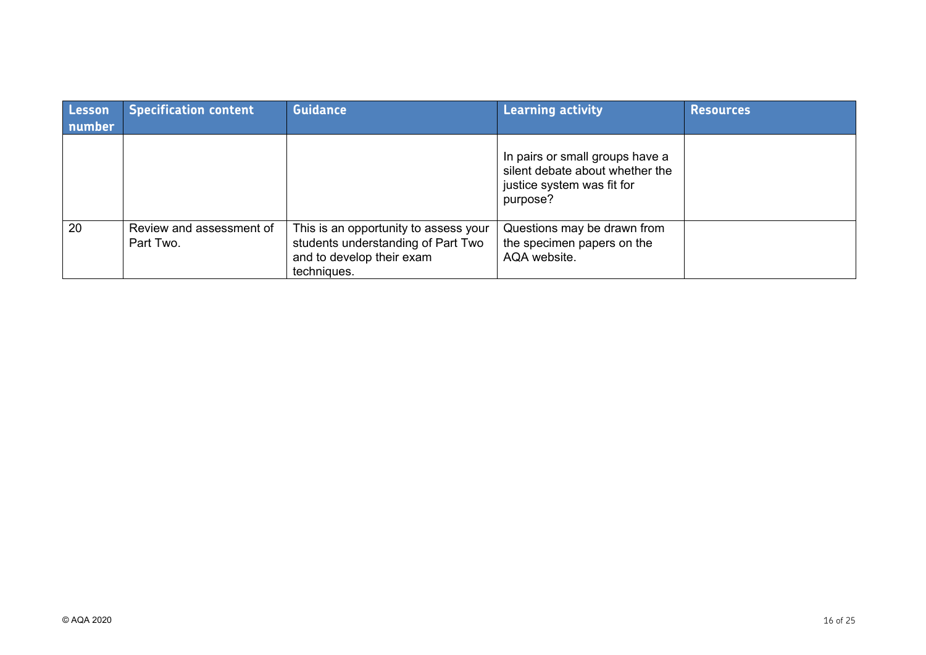| Lesson<br>number | <b>Specification content</b>          | <b>Guidance</b>                                                                                                         | <b>Learning activity</b>                                                                                     | <b>Resources</b> |
|------------------|---------------------------------------|-------------------------------------------------------------------------------------------------------------------------|--------------------------------------------------------------------------------------------------------------|------------------|
|                  |                                       |                                                                                                                         | In pairs or small groups have a<br>silent debate about whether the<br>justice system was fit for<br>purpose? |                  |
| 20               | Review and assessment of<br>Part Two. | This is an opportunity to assess your<br>students understanding of Part Two<br>and to develop their exam<br>techniques. | Questions may be drawn from<br>the specimen papers on the<br>AQA website.                                    |                  |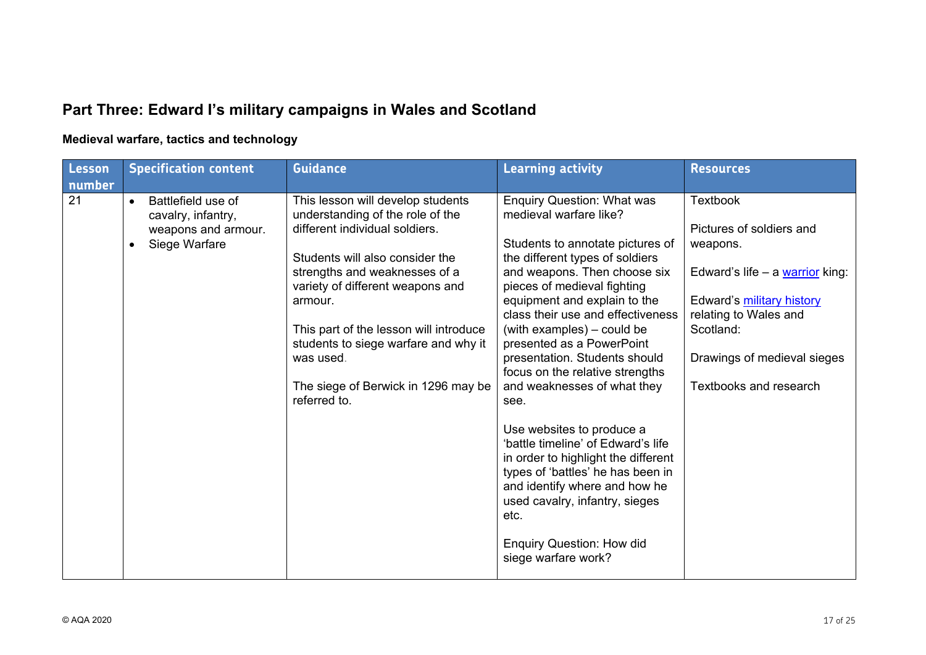# **Part Three: Edward I's military campaigns in Wales and Scotland**

## **Medieval warfare, tactics and technology**

| Lesson | <b>Specification content</b>                          | <b>Guidance</b>                                                       | <b>Learning activity</b>                                           | <b>Resources</b>                |
|--------|-------------------------------------------------------|-----------------------------------------------------------------------|--------------------------------------------------------------------|---------------------------------|
| number |                                                       |                                                                       |                                                                    |                                 |
| 21     | Battlefield use of<br>$\bullet$<br>cavalry, infantry, | This lesson will develop students<br>understanding of the role of the | <b>Enquiry Question: What was</b><br>medieval warfare like?        | <b>Textbook</b>                 |
|        | weapons and armour.                                   | different individual soldiers.                                        |                                                                    | Pictures of soldiers and        |
|        | Siege Warfare<br>$\bullet$                            |                                                                       | Students to annotate pictures of                                   | weapons.                        |
|        |                                                       | Students will also consider the                                       | the different types of soldiers                                    |                                 |
|        |                                                       | strengths and weaknesses of a<br>variety of different weapons and     | and weapons. Then choose six<br>pieces of medieval fighting        | Edward's life - a warrior king: |
|        |                                                       | armour.                                                               | equipment and explain to the                                       | Edward's military history       |
|        |                                                       |                                                                       | class their use and effectiveness                                  | relating to Wales and           |
|        |                                                       | This part of the lesson will introduce                                | (with examples) – could be                                         | Scotland:                       |
|        |                                                       | students to siege warfare and why it<br>was used.                     | presented as a PowerPoint<br>presentation. Students should         | Drawings of medieval sieges     |
|        |                                                       |                                                                       | focus on the relative strengths                                    |                                 |
|        |                                                       | The siege of Berwick in 1296 may be                                   | and weaknesses of what they                                        | Textbooks and research          |
|        |                                                       | referred to.                                                          | see.                                                               |                                 |
|        |                                                       |                                                                       |                                                                    |                                 |
|        |                                                       |                                                                       | Use websites to produce a                                          |                                 |
|        |                                                       |                                                                       | 'battle timeline' of Edward's life                                 |                                 |
|        |                                                       |                                                                       | in order to highlight the different                                |                                 |
|        |                                                       |                                                                       | types of 'battles' he has been in<br>and identify where and how he |                                 |
|        |                                                       |                                                                       | used cavalry, infantry, sieges                                     |                                 |
|        |                                                       |                                                                       | etc.                                                               |                                 |
|        |                                                       |                                                                       |                                                                    |                                 |
|        |                                                       |                                                                       | <b>Enquiry Question: How did</b>                                   |                                 |
|        |                                                       |                                                                       | siege warfare work?                                                |                                 |
|        |                                                       |                                                                       |                                                                    |                                 |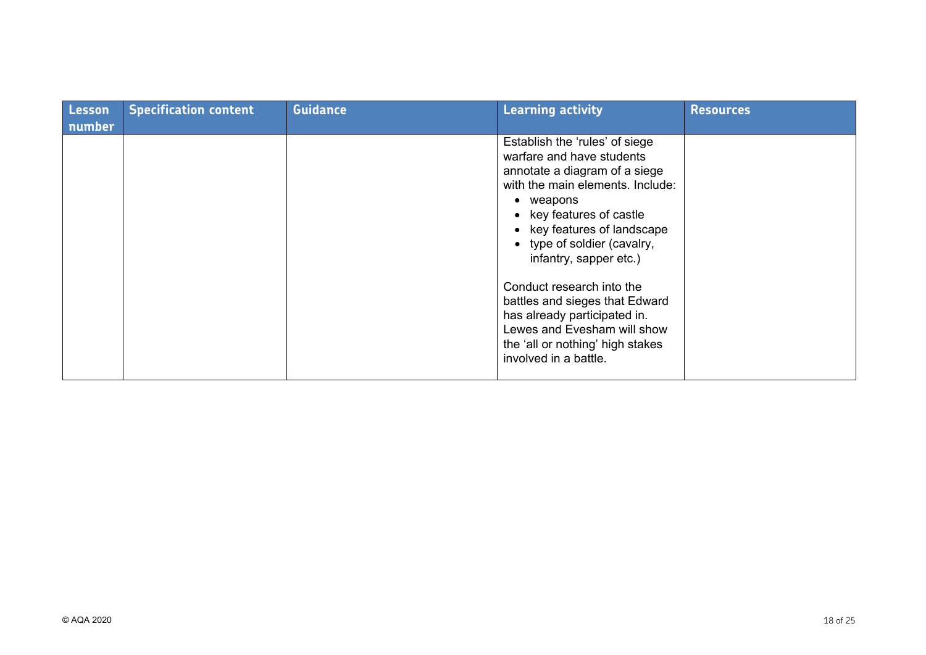| Lesson<br>number | <b>Specification content</b> | <b>Guidance</b> | <b>Learning activity</b>                                                                                                                                                                                                                                          | <b>Resources</b> |
|------------------|------------------------------|-----------------|-------------------------------------------------------------------------------------------------------------------------------------------------------------------------------------------------------------------------------------------------------------------|------------------|
|                  |                              |                 | Establish the 'rules' of siege<br>warfare and have students<br>annotate a diagram of a siege<br>with the main elements. Include:<br>• weapons<br>• key features of castle<br>• key features of landscape<br>• type of soldier (cavalry,<br>infantry, sapper etc.) |                  |
|                  |                              |                 | Conduct research into the<br>battles and sieges that Edward<br>has already participated in.<br>Lewes and Evesham will show<br>the 'all or nothing' high stakes<br>involved in a battle.                                                                           |                  |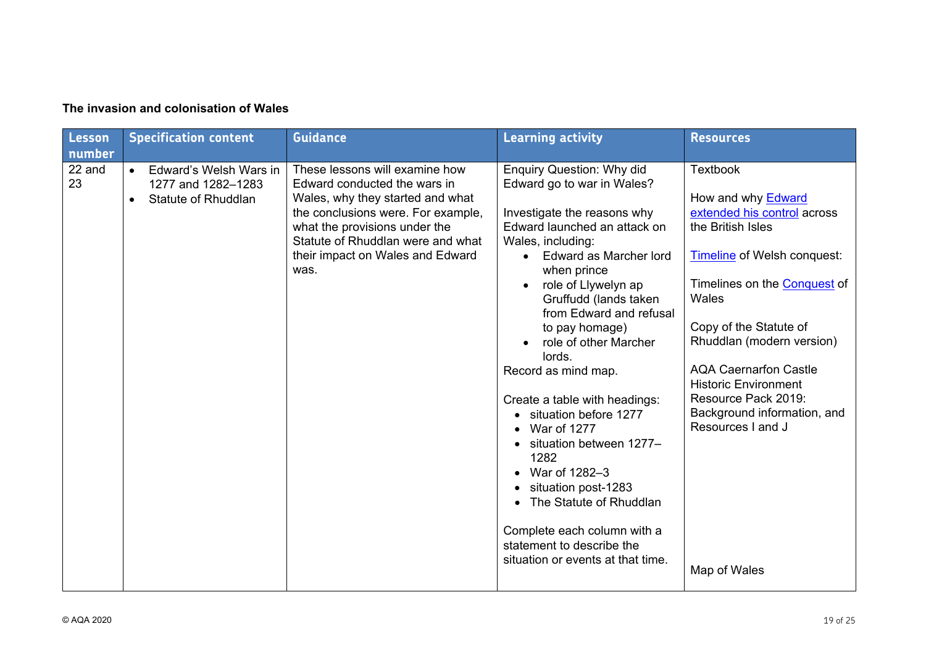| <b>Lesson</b><br>number | <b>Specification content</b>                                                                  | <b>Guidance</b>                                                                                                                                                                                                                                            | <b>Learning activity</b>                                                                                                                                                                                                                                                                                                                                                                                                                                                                                                                                                                                                           | <b>Resources</b>                                                                                                                                                                                                                                                                                                                                                                                        |
|-------------------------|-----------------------------------------------------------------------------------------------|------------------------------------------------------------------------------------------------------------------------------------------------------------------------------------------------------------------------------------------------------------|------------------------------------------------------------------------------------------------------------------------------------------------------------------------------------------------------------------------------------------------------------------------------------------------------------------------------------------------------------------------------------------------------------------------------------------------------------------------------------------------------------------------------------------------------------------------------------------------------------------------------------|---------------------------------------------------------------------------------------------------------------------------------------------------------------------------------------------------------------------------------------------------------------------------------------------------------------------------------------------------------------------------------------------------------|
| 22 and<br>23            | Edward's Welsh Wars in<br>$\bullet$<br>1277 and 1282-1283<br>Statute of Rhuddlan<br>$\bullet$ | These lessons will examine how<br>Edward conducted the wars in<br>Wales, why they started and what<br>the conclusions were. For example,<br>what the provisions under the<br>Statute of Rhuddlan were and what<br>their impact on Wales and Edward<br>was. | <b>Enquiry Question: Why did</b><br>Edward go to war in Wales?<br>Investigate the reasons why<br>Edward launched an attack on<br>Wales, including:<br>Edward as Marcher lord<br>when prince<br>role of Llywelyn ap<br>Gruffudd (lands taken<br>from Edward and refusal<br>to pay homage)<br>role of other Marcher<br>lords.<br>Record as mind map.<br>Create a table with headings:<br>situation before 1277<br>War of 1277<br>situation between 1277-<br>1282<br>War of 1282-3<br>situation post-1283<br>The Statute of Rhuddlan<br>Complete each column with a<br>statement to describe the<br>situation or events at that time. | <b>Textbook</b><br>How and why <b>Edward</b><br>extended his control across<br>the British Isles<br><b>Timeline of Welsh conquest:</b><br>Timelines on the <b>Conquest</b> of<br>Wales<br>Copy of the Statute of<br>Rhuddlan (modern version)<br><b>AQA Caernarfon Castle</b><br><b>Historic Environment</b><br>Resource Pack 2019:<br>Background information, and<br>Resources I and J<br>Map of Wales |

#### **The invasion and colonisation of Wales**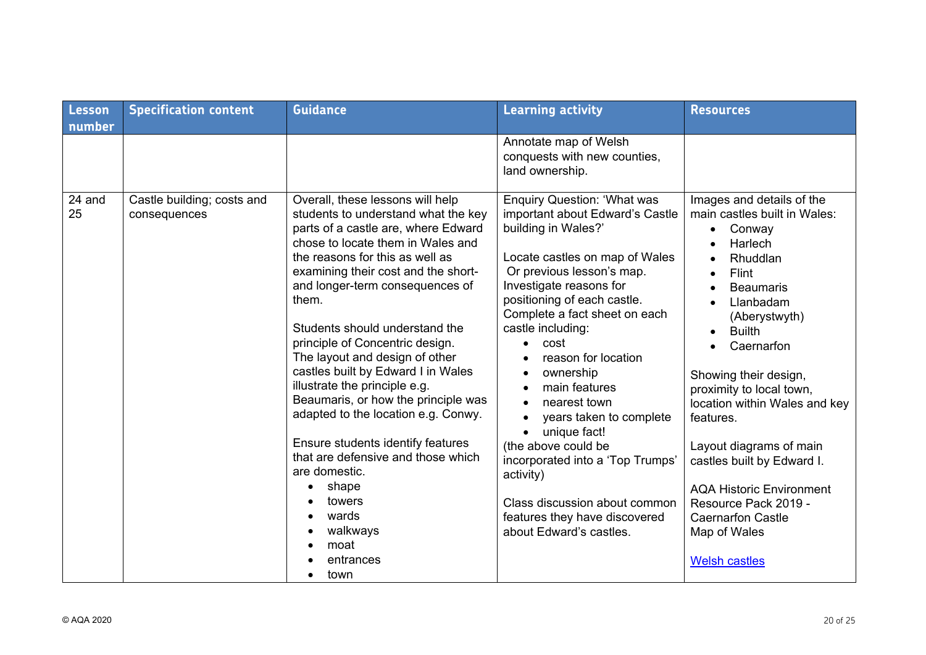| Lesson       | <b>Specification content</b>               | <b>Guidance</b>                                                                                                                                                                                                                                                                                                                                                                                                                                                                                                                                                                                                                                                                                        | <b>Learning activity</b>                                                                                                                                                                                                                                                                                                                                                                                                                                                                                                                                                 | <b>Resources</b>                                                                                                                                                                                                                                                                                                                                                                                                                                                                             |
|--------------|--------------------------------------------|--------------------------------------------------------------------------------------------------------------------------------------------------------------------------------------------------------------------------------------------------------------------------------------------------------------------------------------------------------------------------------------------------------------------------------------------------------------------------------------------------------------------------------------------------------------------------------------------------------------------------------------------------------------------------------------------------------|--------------------------------------------------------------------------------------------------------------------------------------------------------------------------------------------------------------------------------------------------------------------------------------------------------------------------------------------------------------------------------------------------------------------------------------------------------------------------------------------------------------------------------------------------------------------------|----------------------------------------------------------------------------------------------------------------------------------------------------------------------------------------------------------------------------------------------------------------------------------------------------------------------------------------------------------------------------------------------------------------------------------------------------------------------------------------------|
| number       |                                            |                                                                                                                                                                                                                                                                                                                                                                                                                                                                                                                                                                                                                                                                                                        | Annotate map of Welsh<br>conquests with new counties,<br>land ownership.                                                                                                                                                                                                                                                                                                                                                                                                                                                                                                 |                                                                                                                                                                                                                                                                                                                                                                                                                                                                                              |
| 24 and<br>25 | Castle building; costs and<br>consequences | Overall, these lessons will help<br>students to understand what the key<br>parts of a castle are, where Edward<br>chose to locate them in Wales and<br>the reasons for this as well as<br>examining their cost and the short-<br>and longer-term consequences of<br>them.<br>Students should understand the<br>principle of Concentric design.<br>The layout and design of other<br>castles built by Edward I in Wales<br>illustrate the principle e.g.<br>Beaumaris, or how the principle was<br>adapted to the location e.g. Conwy.<br>Ensure students identify features<br>that are defensive and those which<br>are domestic.<br>shape<br>towers<br>wards<br>walkways<br>moat<br>entrances<br>town | <b>Enquiry Question: 'What was</b><br>important about Edward's Castle<br>building in Wales?'<br>Locate castles on map of Wales<br>Or previous lesson's map.<br>Investigate reasons for<br>positioning of each castle.<br>Complete a fact sheet on each<br>castle including:<br>cost<br>reason for location<br>ownership<br>main features<br>nearest town<br>years taken to complete<br>unique fact!<br>(the above could be<br>incorporated into a 'Top Trumps'<br>activity)<br>Class discussion about common<br>features they have discovered<br>about Edward's castles. | Images and details of the<br>main castles built in Wales:<br>Conway<br>Harlech<br>Rhuddlan<br>Flint<br><b>Beaumaris</b><br>Llanbadam<br>(Aberystwyth)<br><b>Builth</b><br>$\bullet$<br>Caernarfon<br>Showing their design,<br>proximity to local town,<br>location within Wales and key<br>features.<br>Layout diagrams of main<br>castles built by Edward I.<br><b>AQA Historic Environment</b><br>Resource Pack 2019 -<br><b>Caernarfon Castle</b><br>Map of Wales<br><b>Welsh castles</b> |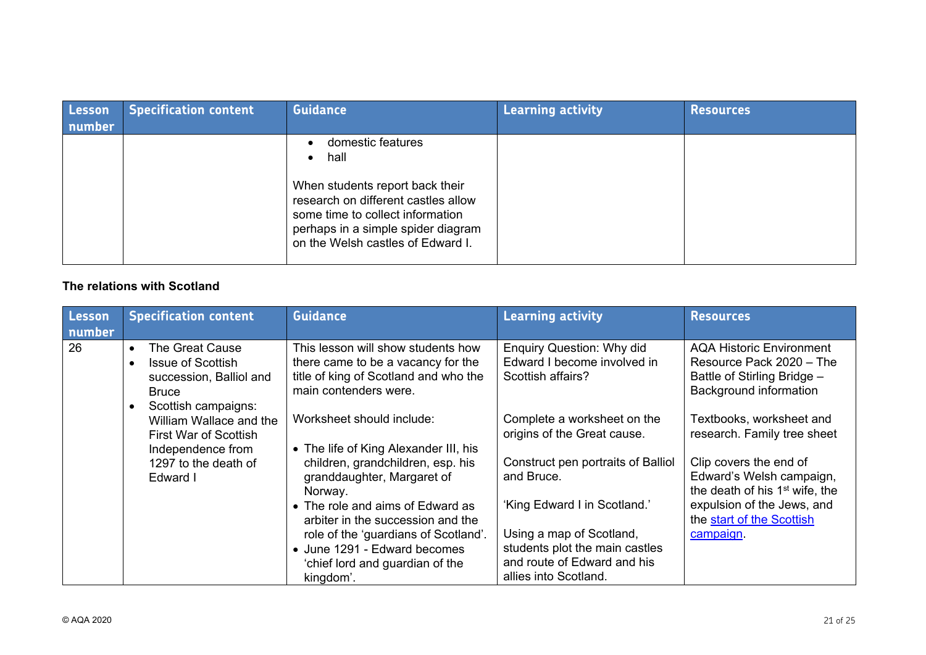| <b>Lesson</b><br>number | <b>Specification content</b> | <b>Guidance</b>                                                                                                                                                                                                                              | Learning activity | <b>Resources</b> |
|-------------------------|------------------------------|----------------------------------------------------------------------------------------------------------------------------------------------------------------------------------------------------------------------------------------------|-------------------|------------------|
|                         |                              | domestic features<br>$\bullet$<br>hall<br>$\bullet$<br>When students report back their<br>research on different castles allow<br>some time to collect information<br>perhaps in a simple spider diagram<br>on the Welsh castles of Edward I. |                   |                  |

#### **The relations with Scotland**

| Lesson<br>number | <b>Specification content</b>                                                                                     | <b>Guidance</b>                                                                                                                            | <b>Learning activity</b>                                                             | <b>Resources</b>                                                                                                     |
|------------------|------------------------------------------------------------------------------------------------------------------|--------------------------------------------------------------------------------------------------------------------------------------------|--------------------------------------------------------------------------------------|----------------------------------------------------------------------------------------------------------------------|
| 26               | The Great Cause<br>$\bullet$<br><b>Issue of Scottish</b><br>$\bullet$<br>succession, Balliol and<br><b>Bruce</b> | This lesson will show students how<br>there came to be a vacancy for the<br>title of king of Scotland and who the<br>main contenders were. | <b>Enquiry Question: Why did</b><br>Edward I become involved in<br>Scottish affairs? | <b>AQA Historic Environment</b><br>Resource Pack 2020 - The<br>Battle of Stirling Bridge -<br>Background information |
|                  | Scottish campaigns:<br>$\bullet$<br>William Wallace and the<br><b>First War of Scottish</b><br>Independence from | Worksheet should include:<br>• The life of King Alexander III, his                                                                         | Complete a worksheet on the<br>origins of the Great cause.                           | Textbooks, worksheet and<br>research. Family tree sheet                                                              |
|                  | 1297 to the death of<br>Edward I                                                                                 | children, grandchildren, esp. his<br>granddaughter, Margaret of<br>Norway.                                                                 | Construct pen portraits of Balliol<br>and Bruce.                                     | Clip covers the end of<br>Edward's Welsh campaign,<br>the death of his 1 <sup>st</sup> wife, the                     |
|                  |                                                                                                                  | • The role and aims of Edward as<br>arbiter in the succession and the                                                                      | 'King Edward I in Scotland.'                                                         | expulsion of the Jews, and<br>the start of the Scottish                                                              |
|                  |                                                                                                                  | role of the 'guardians of Scotland'.                                                                                                       | Using a map of Scotland,<br>students plot the main castles                           | campaign.                                                                                                            |
|                  |                                                                                                                  | • June 1291 - Edward becomes<br>'chief lord and guardian of the<br>kingdom'.                                                               | and route of Edward and his<br>allies into Scotland.                                 |                                                                                                                      |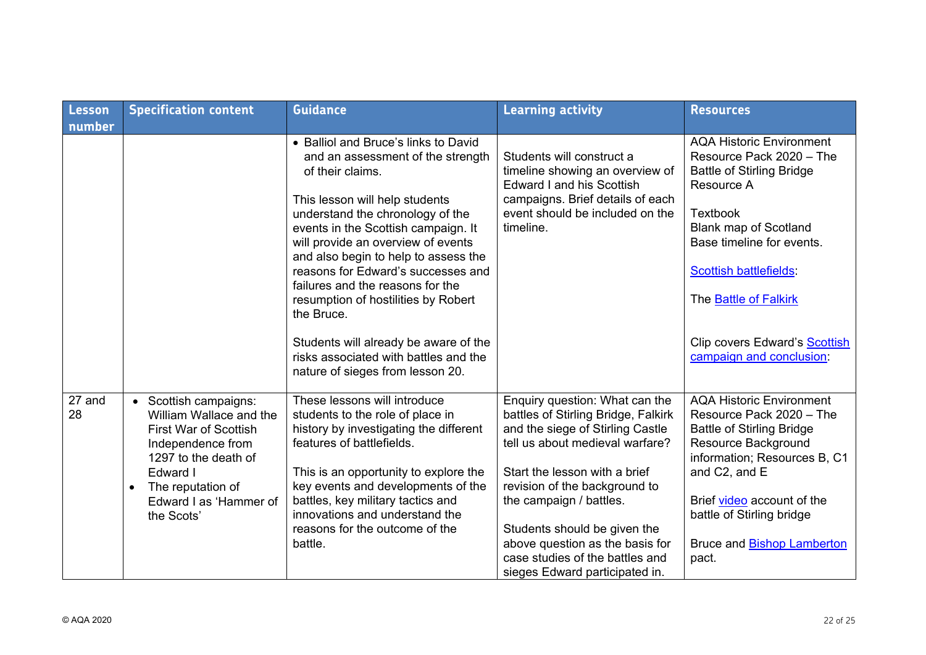| Lesson<br>number | <b>Specification content</b>                                                                                                                                                                                        | <b>Guidance</b>                                                                                                                                                                                                                                                                                                                                                                                                                                                                                                                               | <b>Learning activity</b>                                                                                                                                                                                                                                                                                                                                                          | <b>Resources</b>                                                                                                                                                                                                                                                                                                            |
|------------------|---------------------------------------------------------------------------------------------------------------------------------------------------------------------------------------------------------------------|-----------------------------------------------------------------------------------------------------------------------------------------------------------------------------------------------------------------------------------------------------------------------------------------------------------------------------------------------------------------------------------------------------------------------------------------------------------------------------------------------------------------------------------------------|-----------------------------------------------------------------------------------------------------------------------------------------------------------------------------------------------------------------------------------------------------------------------------------------------------------------------------------------------------------------------------------|-----------------------------------------------------------------------------------------------------------------------------------------------------------------------------------------------------------------------------------------------------------------------------------------------------------------------------|
|                  |                                                                                                                                                                                                                     | • Balliol and Bruce's links to David<br>and an assessment of the strength<br>of their claims.<br>This lesson will help students<br>understand the chronology of the<br>events in the Scottish campaign. It<br>will provide an overview of events<br>and also begin to help to assess the<br>reasons for Edward's successes and<br>failures and the reasons for the<br>resumption of hostilities by Robert<br>the Bruce.<br>Students will already be aware of the<br>risks associated with battles and the<br>nature of sieges from lesson 20. | Students will construct a<br>timeline showing an overview of<br><b>Edward I and his Scottish</b><br>campaigns. Brief details of each<br>event should be included on the<br>timeline.                                                                                                                                                                                              | <b>AQA Historic Environment</b><br>Resource Pack 2020 - The<br><b>Battle of Stirling Bridge</b><br>Resource A<br><b>Textbook</b><br><b>Blank map of Scotland</b><br>Base timeline for events.<br><b>Scottish battlefields:</b><br>The <b>Battle of Falkirk</b><br>Clip covers Edward's Scottish<br>campaign and conclusion: |
| 27 and<br>28     | • Scottish campaigns:<br>William Wallace and the<br><b>First War of Scottish</b><br>Independence from<br>1297 to the death of<br>Edward I<br>The reputation of<br>$\bullet$<br>Edward I as 'Hammer of<br>the Scots' | These lessons will introduce<br>students to the role of place in<br>history by investigating the different<br>features of battlefields.<br>This is an opportunity to explore the<br>key events and developments of the<br>battles, key military tactics and<br>innovations and understand the<br>reasons for the outcome of the<br>battle.                                                                                                                                                                                                    | Enquiry question: What can the<br>battles of Stirling Bridge, Falkirk<br>and the siege of Stirling Castle<br>tell us about medieval warfare?<br>Start the lesson with a brief<br>revision of the background to<br>the campaign / battles.<br>Students should be given the<br>above question as the basis for<br>case studies of the battles and<br>sieges Edward participated in. | <b>AQA Historic Environment</b><br>Resource Pack 2020 - The<br><b>Battle of Stirling Bridge</b><br>Resource Background<br>information; Resources B, C1<br>and C2, and E<br>Brief video account of the<br>battle of Stirling bridge<br>Bruce and <b>Bishop Lamberton</b><br>pact.                                            |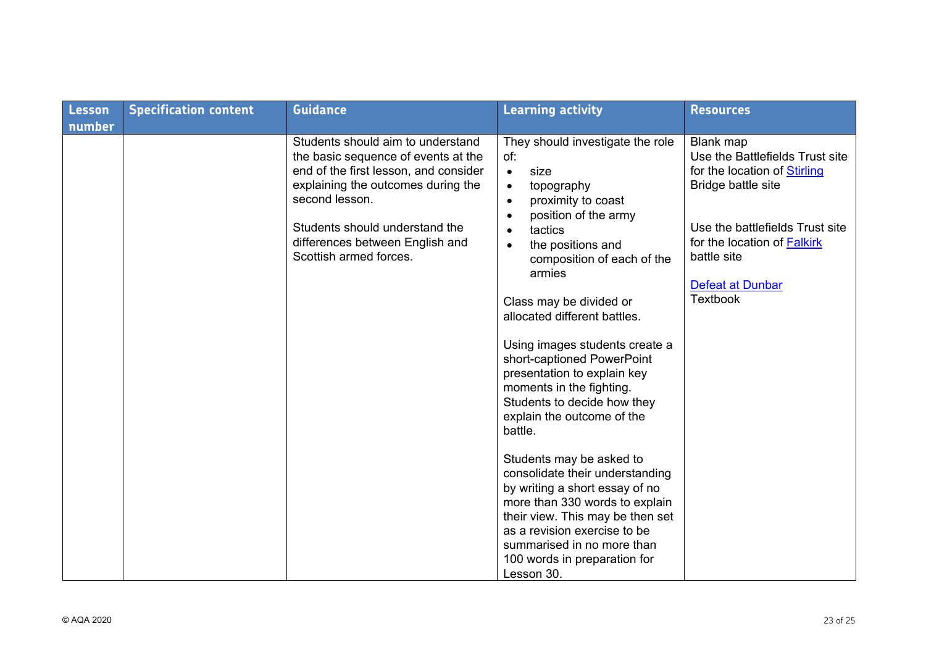| <b>Lesson</b> | <b>Specification content</b> | <b>Guidance</b>                                                                                                                                         | <b>Learning activity</b>                                                                                                                                                                                                                                                        | <b>Resources</b>                                                                                                            |
|---------------|------------------------------|---------------------------------------------------------------------------------------------------------------------------------------------------------|---------------------------------------------------------------------------------------------------------------------------------------------------------------------------------------------------------------------------------------------------------------------------------|-----------------------------------------------------------------------------------------------------------------------------|
| number        |                              | Students should aim to understand<br>the basic sequence of events at the<br>end of the first lesson, and consider<br>explaining the outcomes during the | They should investigate the role<br>of:<br>size<br>$\bullet$<br>topography<br>$\bullet$                                                                                                                                                                                         | <b>Blank</b> map<br>Use the Battlefields Trust site<br>for the location of Stirling<br>Bridge battle site                   |
|               |                              | second lesson.<br>Students should understand the<br>differences between English and<br>Scottish armed forces.                                           | proximity to coast<br>$\bullet$<br>position of the army<br>$\bullet$<br>tactics<br>$\bullet$<br>the positions and<br>$\bullet$<br>composition of each of the<br>armies<br>Class may be divided or                                                                               | Use the battlefields Trust site<br>for the location of <b>Falkirk</b><br>battle site<br>Defeat at Dunbar<br><b>Textbook</b> |
|               |                              |                                                                                                                                                         | allocated different battles.<br>Using images students create a<br>short-captioned PowerPoint<br>presentation to explain key<br>moments in the fighting.<br>Students to decide how they<br>explain the outcome of the<br>battle.                                                 |                                                                                                                             |
|               |                              |                                                                                                                                                         | Students may be asked to<br>consolidate their understanding<br>by writing a short essay of no<br>more than 330 words to explain<br>their view. This may be then set<br>as a revision exercise to be<br>summarised in no more than<br>100 words in preparation for<br>Lesson 30. |                                                                                                                             |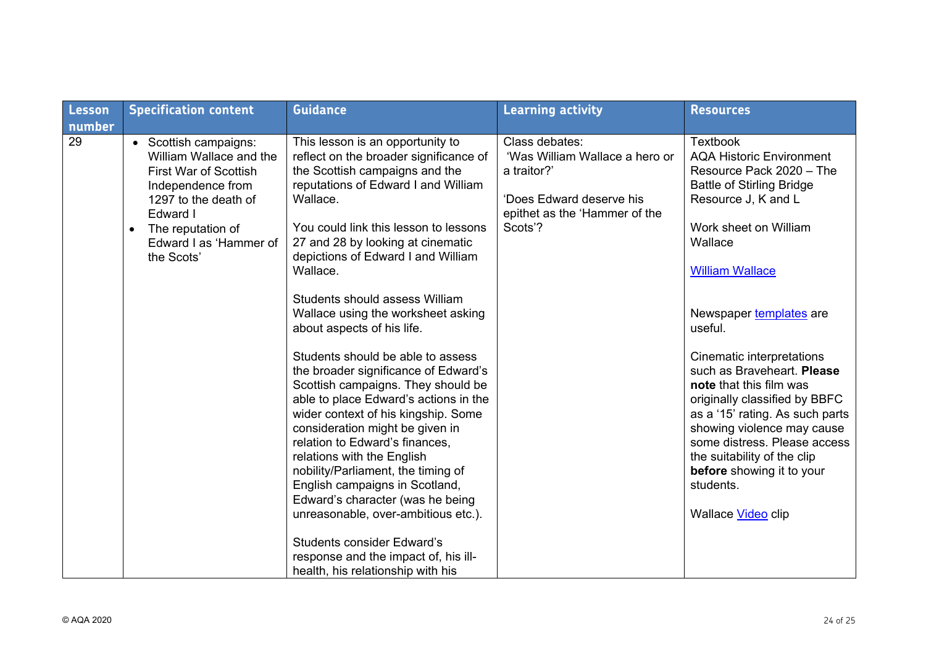| Lesson       | <b>Specification content</b>                                                                                                                                                                                        | <b>Guidance</b>                                                                                                                                                                                                                                                                                                                                                                                                                                                                                                                                                                                                                                                                                                                                                                                                                                                                                                                                                                  | <b>Learning activity</b>                                                                                                                | <b>Resources</b>                                                                                                                                                                                                                                                                                                                                                                                                                                                                                                                                                     |
|--------------|---------------------------------------------------------------------------------------------------------------------------------------------------------------------------------------------------------------------|----------------------------------------------------------------------------------------------------------------------------------------------------------------------------------------------------------------------------------------------------------------------------------------------------------------------------------------------------------------------------------------------------------------------------------------------------------------------------------------------------------------------------------------------------------------------------------------------------------------------------------------------------------------------------------------------------------------------------------------------------------------------------------------------------------------------------------------------------------------------------------------------------------------------------------------------------------------------------------|-----------------------------------------------------------------------------------------------------------------------------------------|----------------------------------------------------------------------------------------------------------------------------------------------------------------------------------------------------------------------------------------------------------------------------------------------------------------------------------------------------------------------------------------------------------------------------------------------------------------------------------------------------------------------------------------------------------------------|
| number<br>29 | • Scottish campaigns:<br>William Wallace and the<br><b>First War of Scottish</b><br>Independence from<br>1297 to the death of<br>Edward I<br>The reputation of<br>$\bullet$<br>Edward I as 'Hammer of<br>the Scots' | This lesson is an opportunity to<br>reflect on the broader significance of<br>the Scottish campaigns and the<br>reputations of Edward I and William<br>Wallace.<br>You could link this lesson to lessons<br>27 and 28 by looking at cinematic<br>depictions of Edward I and William<br>Wallace.<br>Students should assess William<br>Wallace using the worksheet asking<br>about aspects of his life.<br>Students should be able to assess<br>the broader significance of Edward's<br>Scottish campaigns. They should be<br>able to place Edward's actions in the<br>wider context of his kingship. Some<br>consideration might be given in<br>relation to Edward's finances,<br>relations with the English<br>nobility/Parliament, the timing of<br>English campaigns in Scotland,<br>Edward's character (was he being<br>unreasonable, over-ambitious etc.).<br><b>Students consider Edward's</b><br>response and the impact of, his ill-<br>health, his relationship with his | Class debates:<br>'Was William Wallace a hero or<br>a traitor?'<br>'Does Edward deserve his<br>epithet as the 'Hammer of the<br>Scots'? | <b>Textbook</b><br><b>AQA Historic Environment</b><br>Resource Pack 2020 - The<br><b>Battle of Stirling Bridge</b><br>Resource J, K and L<br>Work sheet on William<br>Wallace<br><b>William Wallace</b><br>Newspaper templates are<br>useful.<br>Cinematic interpretations<br>such as Braveheart. Please<br>note that this film was<br>originally classified by BBFC<br>as a '15' rating. As such parts<br>showing violence may cause<br>some distress. Please access<br>the suitability of the clip<br>before showing it to your<br>students.<br>Wallace Video clip |